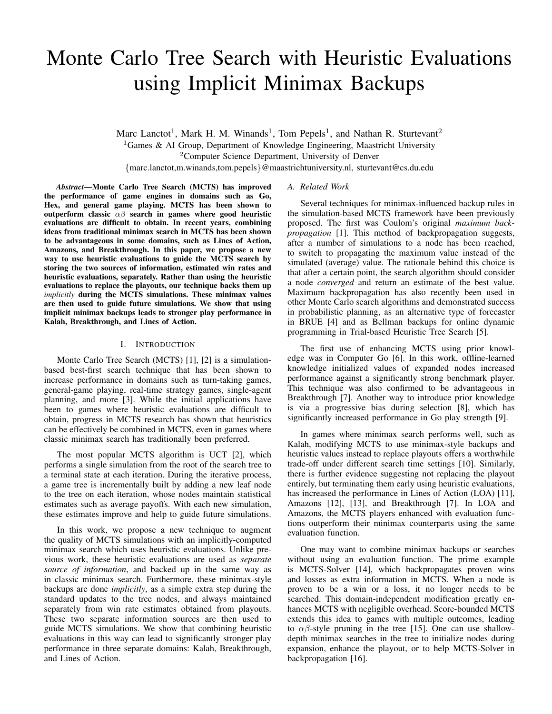# Monte Carlo Tree Search with Heuristic Evaluations using Implicit Minimax Backups

Marc Lanctot<sup>1</sup>, Mark H. M. Winands<sup>1</sup>, Tom Pepels<sup>1</sup>, and Nathan R. Sturtevant<sup>2</sup> <sup>1</sup>Games & AI Group, Department of Knowledge Engineering, Maastricht University <sup>2</sup>Computer Science Department, University of Denver {marc.lanctot,m.winands,tom.pepels}@maastrichtuniversity.nl, sturtevant@cs.du.edu

*Abstract*—Monte Carlo Tree Search (MCTS) has improved the performance of game engines in domains such as Go, Hex, and general game playing. MCTS has been shown to outperform classic  $\alpha\beta$  search in games where good heuristic evaluations are difficult to obtain. In recent years, combining ideas from traditional minimax search in MCTS has been shown to be advantageous in some domains, such as Lines of Action, Amazons, and Breakthrough. In this paper, we propose a new way to use heuristic evaluations to guide the MCTS search by storing the two sources of information, estimated win rates and heuristic evaluations, separately. Rather than using the heuristic evaluations to replace the playouts, our technique backs them up *implicitly* during the MCTS simulations. These minimax values are then used to guide future simulations. We show that using implicit minimax backups leads to stronger play performance in Kalah, Breakthrough, and Lines of Action.

## I. INTRODUCTION

Monte Carlo Tree Search (MCTS) [1], [2] is a simulationbased best-first search technique that has been shown to increase performance in domains such as turn-taking games, general-game playing, real-time strategy games, single-agent planning, and more [3]. While the initial applications have been to games where heuristic evaluations are difficult to obtain, progress in MCTS research has shown that heuristics can be effectively be combined in MCTS, even in games where classic minimax search has traditionally been preferred.

The most popular MCTS algorithm is UCT [2], which performs a single simulation from the root of the search tree to a terminal state at each iteration. During the iterative process, a game tree is incrementally built by adding a new leaf node to the tree on each iteration, whose nodes maintain statistical estimates such as average payoffs. With each new simulation, these estimates improve and help to guide future simulations.

In this work, we propose a new technique to augment the quality of MCTS simulations with an implicitly-computed minimax search which uses heuristic evaluations. Unlike previous work, these heuristic evaluations are used as *separate source of information*, and backed up in the same way as in classic minimax search. Furthermore, these minimax-style backups are done *implicitly*, as a simple extra step during the standard updates to the tree nodes, and always maintained separately from win rate estimates obtained from playouts. These two separate information sources are then used to guide MCTS simulations. We show that combining heuristic evaluations in this way can lead to significantly stronger play performance in three separate domains: Kalah, Breakthrough, and Lines of Action.

### *A. Related Work*

Several techniques for minimax-influenced backup rules in the simulation-based MCTS framework have been previously proposed. The first was Coulom's original *maximum backpropagation* [1]. This method of backpropagation suggests, after a number of simulations to a node has been reached, to switch to propagating the maximum value instead of the simulated (average) value. The rationale behind this choice is that after a certain point, the search algorithm should consider a node *converged* and return an estimate of the best value. Maximum backpropagation has also recently been used in other Monte Carlo search algorithms and demonstrated success in probabilistic planning, as an alternative type of forecaster in BRUE [4] and as Bellman backups for online dynamic programming in Trial-based Heuristic Tree Search [5].

The first use of enhancing MCTS using prior knowledge was in Computer Go [6]. In this work, offline-learned knowledge initialized values of expanded nodes increased performance against a significantly strong benchmark player. This technique was also confirmed to be advantageous in Breakthrough [7]. Another way to introduce prior knowledge is via a progressive bias during selection [8], which has significantly increased performance in Go play strength [9].

In games where minimax search performs well, such as Kalah, modifying MCTS to use minimax-style backups and heuristic values instead to replace playouts offers a worthwhile trade-off under different search time settings [10]. Similarly, there is further evidence suggesting not replacing the playout entirely, but terminating them early using heuristic evaluations, has increased the performance in Lines of Action (LOA) [11], Amazons [12], [13], and Breakthrough [7]. In LOA and Amazons, the MCTS players enhanced with evaluation functions outperform their minimax counterparts using the same evaluation function.

One may want to combine minimax backups or searches without using an evaluation function. The prime example is MCTS-Solver [14], which backpropagates proven wins and losses as extra information in MCTS. When a node is proven to be a win or a loss, it no longer needs to be searched. This domain-independent modification greatly enhances MCTS with negligible overhead. Score-bounded MCTS extends this idea to games with multiple outcomes, leading to  $\alpha\beta$ -style pruning in the tree [15]. One can use shallowdepth minimax searches in the tree to initialize nodes during expansion, enhance the playout, or to help MCTS-Solver in backpropagation [16].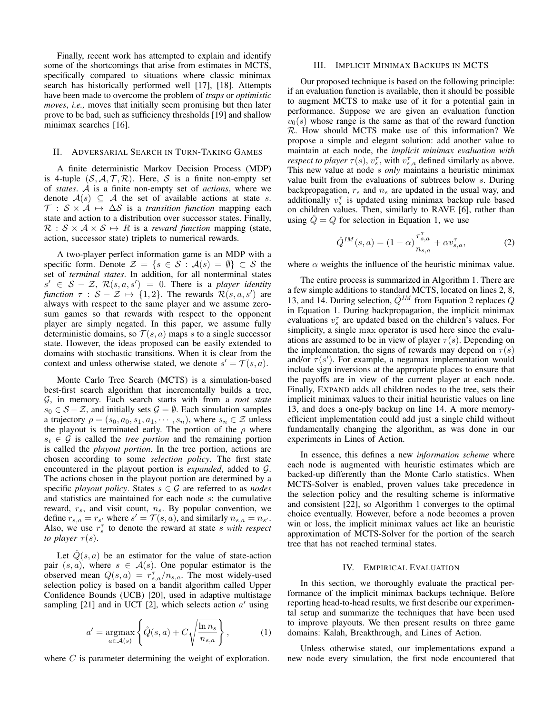Finally, recent work has attempted to explain and identify some of the shortcomings that arise from estimates in MCTS, specifically compared to situations where classic minimax search has historically performed well [17], [18]. Attempts have been made to overcome the problem of *traps* or *optimistic moves*, *i.e.,* moves that initially seem promising but then later prove to be bad, such as sufficiency thresholds [19] and shallow minimax searches [16].

## II. ADVERSARIAL SEARCH IN TURN-TAKING GAMES

A finite deterministic Markov Decision Process (MDP) is 4-tuple  $(S, A, T, R)$ . Here, S is a finite non-empty set of *states*. A is a finite non-empty set of *actions*, where we denote  $A(s) \subseteq A$  the set of available actions at state s.  $\mathcal{T}$  :  $\mathcal{S} \times \mathcal{A} \mapsto \Delta \mathcal{S}$  is a *transition function* mapping each state and action to a distribution over successor states. Finally,  $\mathcal{R} : \mathcal{S} \times \mathcal{A} \times \mathcal{S} \mapsto R$  is a *reward function* mapping (state, action, successor state) triplets to numerical rewards.

A two-player perfect information game is an MDP with a specific form. Denote  $\mathcal{Z} = \{s \in \mathcal{S} : \mathcal{A}(s) = \emptyset\} \subset \mathcal{S}$  the set of *terminal states*. In addition, for all nonterminal states  $s' \in S - \mathcal{Z}, \ \mathcal{R}(s, a, s') = 0.$  There is a *player identity function*  $\tau : \mathcal{S} - \mathcal{Z} \mapsto \{1, 2\}$ . The rewards  $\mathcal{R}(s, a, s')$  are always with respect to the same player and we assume zerosum games so that rewards with respect to the opponent player are simply negated. In this paper, we assume fully deterministic domains, so  $\mathcal{T}(s, a)$  maps s to a single successor state. However, the ideas proposed can be easily extended to domains with stochastic transitions. When it is clear from the context and unless otherwise stated, we denote  $s' = \mathcal{T}(s, a)$ .

Monte Carlo Tree Search (MCTS) is a simulation-based best-first search algorithm that incrementally builds a tree, G, in memory. Each search starts with from a *root state*  $s_0 \in S - \mathcal{Z}$ , and initially sets  $\mathcal{G} = \emptyset$ . Each simulation samples a trajectory  $\rho = (s_0, a_0, s_1, a_1, \cdots, s_n)$ , where  $s_n \in \mathcal{Z}$  unless the playout is terminated early. The portion of the  $\rho$  where  $s_i \in \mathcal{G}$  is called the *tree portion* and the remaining portion is called the *playout portion*. In the tree portion, actions are chosen according to some *selection policy*. The first state encountered in the playout portion is *expanded*, added to G. The actions chosen in the playout portion are determined by a specific *playout policy*. States  $s \in \mathcal{G}$  are referred to as *nodes* and statistics are maintained for each node s: the cumulative reward,  $r_s$ , and visit count,  $n_s$ . By popular convention, we define  $r_{s,a} = r_{s'}$  where  $s' = \mathcal{T}(s, a)$ , and similarly  $n_{s,a} = n_{s'}$ . Also, we use  $r_s^{\tau}$  to denote the reward at state s with respect *to player*  $\tau(s)$ .

Let  $Q(s, a)$  be an estimator for the value of state-action pair  $(s, a)$ , where  $s \in \mathcal{A}(s)$ . One popular estimator is the observed mean  $Q(s, a) = r_{s,a}^{\tau}/n_{s,a}$ . The most widely-used selection policy is based on a bandit algorithm called Upper Confidence Bounds (UCB) [20], used in adaptive multistage sampling [21] and in UCT [2], which selects action  $a'$  using

$$
a' = \underset{a \in \mathcal{A}(s)}{\operatorname{argmax}} \left\{ \hat{Q}(s, a) + C \sqrt{\frac{\ln n_s}{n_{s, a}}} \right\},\tag{1}
$$

where  $C$  is parameter determining the weight of exploration.

## III. IMPLICIT MINIMAX BACKUPS IN MCTS

Our proposed technique is based on the following principle: if an evaluation function is available, then it should be possible to augment MCTS to make use of it for a potential gain in performance. Suppose we are given an evaluation function  $v<sub>0</sub>(s)$  whose range is the same as that of the reward function R. How should MCTS make use of this information? We propose a simple and elegant solution: add another value to maintain at each node, the *implicit minimax evaluation with respect to player*  $\tau(s)$ ,  $v_s^{\tau}$ , with  $v_{s,a}^{\tau}$  defined similarly as above. This new value at node s *only* maintains a heuristic minimax value built from the evaluations of subtrees below s. During backpropagation,  $r_s$  and  $n_s$  are updated in the usual way, and additionally  $v_s^{\tau}$  is updated using minimax backup rule based on children values. Then, similarly to RAVE [6], rather than using  $\ddot{Q} = Q$  for selection in Equation 1, we use

$$
\hat{Q}^{IM}(s,a) = (1 - \alpha) \frac{r_{s,a}^{\tau}}{n_{s,a}} + \alpha v_{s,a}^{\tau},
$$
\n(2)

where  $\alpha$  weights the influence of the heuristic minimax value.

The entire process is summarized in Algorithm 1. There are a few simple additions to standard MCTS, located on lines 2, 8, 13, and 14. During selection,  $\hat{Q}^{IM}$  from Equation 2 replaces Q in Equation 1. During backpropagation, the implicit minimax evaluations  $v_s^{\tau}$  are updated based on the children's values. For simplicity, a single max operator is used here since the evaluations are assumed to be in view of player  $\tau(s)$ . Depending on the implementation, the signs of rewards may depend on  $\tau(s)$ and/or  $\tau(s')$ . For example, a negamax implementation would include sign inversions at the appropriate places to ensure that the payoffs are in view of the current player at each node. Finally, EXPAND adds all children nodes to the tree, sets their implicit minimax values to their initial heuristic values on line 13, and does a one-ply backup on line 14. A more memoryefficient implementation could add just a single child without fundamentally changing the algorithm, as was done in our experiments in Lines of Action.

In essence, this defines a new *information scheme* where each node is augmented with heuristic estimates which are backed-up differently than the Monte Carlo statistics. When MCTS-Solver is enabled, proven values take precedence in the selection policy and the resulting scheme is informative and consistent [22], so Algorithm 1 converges to the optimal choice eventually. However, before a node becomes a proven win or loss, the implicit minimax values act like an heuristic approximation of MCTS-Solver for the portion of the search tree that has not reached terminal states.

## IV. EMPIRICAL EVALUATION

In this section, we thoroughly evaluate the practical performance of the implicit minimax backups technique. Before reporting head-to-head results, we first describe our experimental setup and summarize the techniques that have been used to improve playouts. We then present results on three game domains: Kalah, Breakthrough, and Lines of Action.

Unless otherwise stated, our implementations expand a new node every simulation, the first node encountered that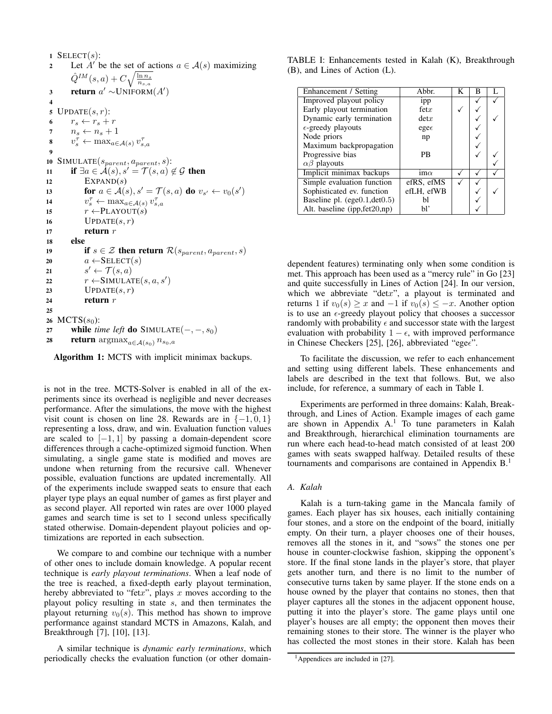```
1 SELECT(s):
2 Let A' be the set of actions a \in \mathcal{A}(s) maximizing
        \hat{Q}^{IM}(s,a)+C\sqrt{\frac{\ln n_s}{n_{s,a}}}3 return a' \sim UNIFORM(A')4
5 UPDATE(s, r):
6 r_s \leftarrow r_s + r7 n_s \leftarrow n_s + 18 v_s^{\tau} \leftarrow \max_{a \in \mathcal{A}(s)} v_{s,a}^{\tau}9
10 SIMULATE(s_{parent}, a_{parent}, s):
11 if \exists a \in \mathcal{A}(s), s' = \mathcal{T}(s, a) \notin \mathcal{G} then
12 EXPAND(s)13 for a \in \mathcal{A}(s), s' = \mathcal{T}(s, a) do v_{s'} \leftarrow v_0(s')14 v_s^{\tau} \leftarrow \max_{a \in \mathcal{A}(s)} v_{s,a}^{\tau}15 r \leftarrow \text{PLANOUT}(s)16 \text{UPDATE}(s, r)17 return r18 else
19 if s \in \mathcal{Z} then return \mathcal{R}(s_{parent}, a_{parent}, s)20 a \leftarrow \text{SELECT}(s)21 s' \leftarrow \mathcal{T}(s, a)22 r \leftarrow \text{SIMULATE}(s, a, s')23 \text{UPDATE}(s, r)24 return r25
26 MCTS(s_0):
27 while time left do SIMULATE(-, -, s_0)28 return \arg\max_{a \in \mathcal{A}(s_0)} n_{s_0,a}
```
Algorithm 1: MCTS with implicit minimax backups.

is not in the tree. MCTS-Solver is enabled in all of the experiments since its overhead is negligible and never decreases performance. After the simulations, the move with the highest visit count is chosen on line 28. Rewards are in  $\{-1,0,1\}$ representing a loss, draw, and win. Evaluation function values are scaled to  $[-1, 1]$  by passing a domain-dependent score differences through a cache-optimized sigmoid function. When simulating, a single game state is modified and moves are undone when returning from the recursive call. Whenever possible, evaluation functions are updated incrementally. All of the experiments include swapped seats to ensure that each player type plays an equal number of games as first player and as second player. All reported win rates are over 1000 played games and search time is set to 1 second unless specifically stated otherwise. Domain-dependent playout policies and optimizations are reported in each subsection.

We compare to and combine our technique with a number of other ones to include domain knowledge. A popular recent technique is *early playout terminations*. When a leaf node of the tree is reached, a fixed-depth early playout termination, hereby abbreviated to "fetx", plays  $x$  moves according to the playout policy resulting in state s, and then terminates the playout returning  $v_0(s)$ . This method has shown to improve performance against standard MCTS in Amazons, Kalah, and Breakthrough [7], [10], [13].

A similar technique is *dynamic early terminations*, which periodically checks the evaluation function (or other domain-

TABLE I: Enhancements tested in Kalah (K), Breakthrough (B), and Lines of Action (L).

| Enhancement / Setting           | Abbr.             | K | в |  |
|---------------------------------|-------------------|---|---|--|
| Improved playout policy         | 1pp               |   |   |  |
| Early playout termination       | $f$ et $x$        |   |   |  |
| Dynamic early termination       | $\det x$          |   |   |  |
| $\epsilon$ -greedy playouts     | $e$ ge $\epsilon$ |   |   |  |
| Node priors                     | np                |   |   |  |
| Maximum backpropagation         |                   |   |   |  |
| Progressive bias                | <b>PR</b>         |   |   |  |
| $\alpha\beta$ playouts          |                   |   |   |  |
| Implicit minimax backups        | $im\alpha$        |   |   |  |
| Simple evaluation function      | efRS, efMS        |   |   |  |
| Sophisticated ev. function      | efLH, efWB        |   |   |  |
| Baseline pl. $(ege0.1, det0.5)$ | Ы                 |   |   |  |
| Alt. baseline (ipp,fet20,np)    | hl'               |   |   |  |

dependent features) terminating only when some condition is met. This approach has been used as a "mercy rule" in Go [23] and quite successfully in Lines of Action [24]. In our version, which we abbreviate "detx", a playout is terminated and returns 1 if  $v_0(s) \geq x$  and  $-1$  if  $v_0(s) \leq -x$ . Another option is to use an  $\epsilon$ -greedy playout policy that chooses a successor randomly with probability  $\epsilon$  and successor state with the largest evaluation with probability  $1 - \epsilon$ , with improved performance in Chinese Checkers [25], [26], abbreviated "ege $\epsilon$ ".

To facilitate the discussion, we refer to each enhancement and setting using different labels. These enhancements and labels are described in the text that follows. But, we also include, for reference, a summary of each in Table I.

Experiments are performed in three domains: Kalah, Breakthrough, and Lines of Action. Example images of each game are shown in Appendix  $A<sup>1</sup>$  To tune parameters in Kalah and Breakthrough, hierarchical elimination tournaments are run where each head-to-head match consisted of at least 200 games with seats swapped halfway. Detailed results of these tournaments and comparisons are contained in Appendix B.<sup>1</sup>

## *A. Kalah*

Kalah is a turn-taking game in the Mancala family of games. Each player has six houses, each initially containing four stones, and a store on the endpoint of the board, initially empty. On their turn, a player chooses one of their houses, removes all the stones in it, and "sows" the stones one per house in counter-clockwise fashion, skipping the opponent's store. If the final stone lands in the player's store, that player gets another turn, and there is no limit to the number of consecutive turns taken by same player. If the stone ends on a house owned by the player that contains no stones, then that player captures all the stones in the adjacent opponent house, putting it into the player's store. The game plays until one player's houses are all empty; the opponent then moves their remaining stones to their store. The winner is the player who has collected the most stones in their store. Kalah has been

<sup>&</sup>lt;sup>1</sup>Appendices are included in  $[27]$ .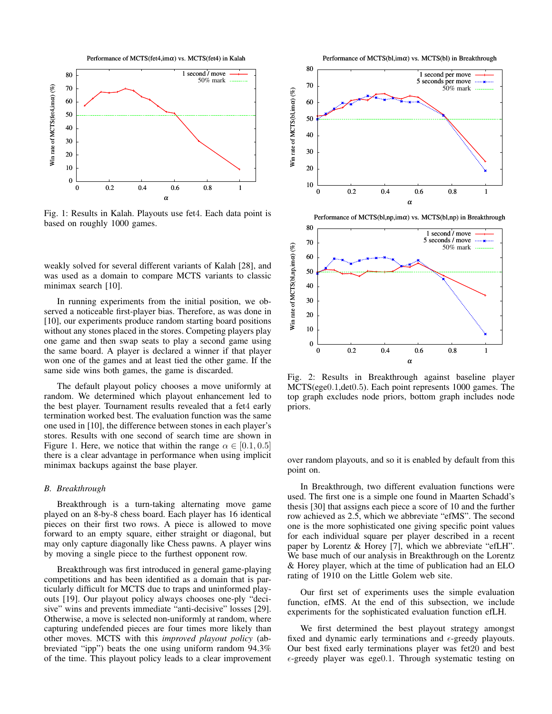Performance of MCTS(fet4,imα) vs. MCTS(fet4) in Kalah



Fig. 1: Results in Kalah. Playouts use fet4. Each data point is based on roughly 1000 games.

weakly solved for several different variants of Kalah [28], and was used as a domain to compare MCTS variants to classic minimax search [10].

In running experiments from the initial position, we observed a noticeable first-player bias. Therefore, as was done in [10], our experiments produce random starting board positions without any stones placed in the stores. Competing players play one game and then swap seats to play a second game using the same board. A player is declared a winner if that player won one of the games and at least tied the other game. If the same side wins both games, the game is discarded.

The default playout policy chooses a move uniformly at random. We determined which playout enhancement led to the best player. Tournament results revealed that a fet4 early termination worked best. The evaluation function was the same one used in [10], the difference between stones in each player's stores. Results with one second of search time are shown in Figure 1. Here, we notice that within the range  $\alpha \in [0.1, 0.5]$ there is a clear advantage in performance when using implicit minimax backups against the base player.

## *B. Breakthrough*

Breakthrough is a turn-taking alternating move game played on an 8-by-8 chess board. Each player has 16 identical pieces on their first two rows. A piece is allowed to move forward to an empty square, either straight or diagonal, but may only capture diagonally like Chess pawns. A player wins by moving a single piece to the furthest opponent row.

Breakthrough was first introduced in general game-playing competitions and has been identified as a domain that is particularly difficult for MCTS due to traps and uninformed playouts [19]. Our playout policy always chooses one-ply "decisive" wins and prevents immediate "anti-decisive" losses [29]. Otherwise, a move is selected non-uniformly at random, where capturing undefended pieces are four times more likely than other moves. MCTS with this *improved playout policy* (abbreviated "ipp") beats the one using uniform random 94.3% of the time. This playout policy leads to a clear improvement Performance of MCTS(bl,imα) vs. MCTS(bl) in Breakthrough



Performance of MCTS(bl,np,imα) vs. MCTS(bl,np) in Breakthrough



Fig. 2: Results in Breakthrough against baseline player MCTS(ege0.1,det0.5). Each point represents 1000 games. The top graph excludes node priors, bottom graph includes node priors.

over random playouts, and so it is enabled by default from this point on.

In Breakthrough, two different evaluation functions were used. The first one is a simple one found in Maarten Schadd's thesis [30] that assigns each piece a score of 10 and the further row achieved as 2.5, which we abbreviate "efMS". The second one is the more sophisticated one giving specific point values for each individual square per player described in a recent paper by Lorentz & Horey [7], which we abbreviate "efLH". We base much of our analysis in Breakthrough on the Lorentz & Horey player, which at the time of publication had an ELO rating of 1910 on the Little Golem web site.

Our first set of experiments uses the simple evaluation function, efMS. At the end of this subsection, we include experiments for the sophisticated evaluation function efLH.

We first determined the best playout strategy amongst fixed and dynamic early terminations and  $\epsilon$ -greedy playouts. Our best fixed early terminations player was fet20 and best  $\epsilon$ -greedy player was ege0.1. Through systematic testing on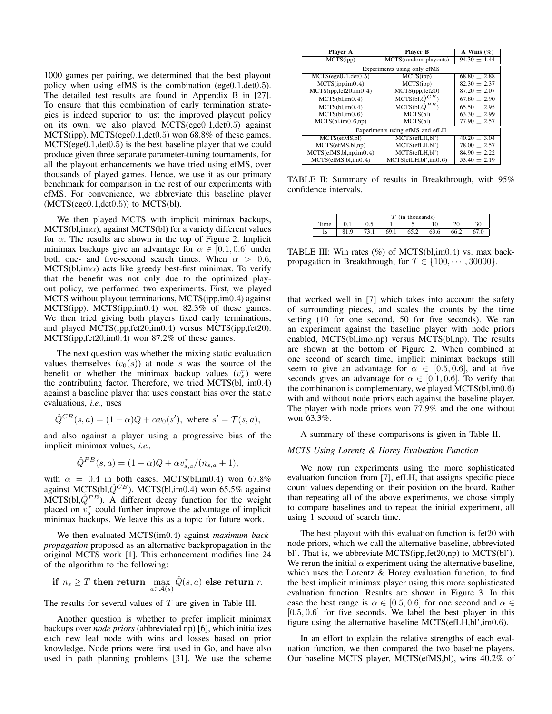1000 games per pairing, we determined that the best playout policy when using efMS is the combination (ege0.1,det0.5). The detailed test results are found in Appendix B in [27]. To ensure that this combination of early termination strategies is indeed superior to just the improved playout policy on its own, we also played MCTS(ege0.1,det0.5) against MCTS(ipp). MCTS(ege0.1,det0.5) won 68.8% of these games. MCTS(ege0.1,det0.5) is the best baseline player that we could produce given three separate parameter-tuning tournaments, for all the playout enhancements we have tried using efMS, over thousands of played games. Hence, we use it as our primary benchmark for comparison in the rest of our experiments with efMS. For convenience, we abbreviate this baseline player (MCTS(ege0.1,det0.5)) to MCTS(bl).

We then played MCTS with implicit minimax backups,  $MCTS(bl,im\alpha)$ , against  $MCTS(bl)$  for a variety different values for  $\alpha$ . The results are shown in the top of Figure 2. Implicit minimax backups give an advantage for  $\alpha \in [0.1, 0.6]$  under both one- and five-second search times. When  $\alpha > 0.6$ ,  $MCTS(bl, im\alpha)$  acts like greedy best-first minimax. To verify that the benefit was not only due to the optimized playout policy, we performed two experiments. First, we played MCTS without playout terminations, MCTS(ipp,im0.4) against MCTS(ipp). MCTS(ipp,im0.4) won 82.3% of these games. We then tried giving both players fixed early terminations, and played MCTS(ipp,fet20,im0.4) versus MCTS(ipp,fet20). MCTS(ipp,fet20,im0.4) won 87.2% of these games.

The next question was whether the mixing static evaluation values themselves  $(v_0(s))$  at node s was the source of the benefit or whether the minimax backup values  $(v_s^{\tau})$  were the contributing factor. Therefore, we tried MCTS(bl, im0.4) against a baseline player that uses constant bias over the static evaluations, *i.e.,* uses

$$
\hat{Q}^{CB}(s,a) = (1-\alpha)Q + \alpha v_0(s'), \text{ where } s' = \mathcal{T}(s,a),
$$

and also against a player using a progressive bias of the implicit minimax values, *i.e.,*

$$
\hat{Q}^{PB}(s,a) = (1 - \alpha)Q + \alpha v_{s,a}^{\tau}/(n_{s,a} + 1),
$$

with  $\alpha = 0.4$  in both cases. MCTS(bl,im0.4) won 67.8% against MCTS(bl, $\hat{Q}^{CB}$ ). MCTS(bl,im0.4) won 65.5% against MCTS(bl, $\hat{Q}^{PB}$ ). A different decay function for the weight placed on  $v_s^{\tau}$  could further improve the advantage of implicit minimax backups. We leave this as a topic for future work.

We then evaluated MCTS(im0.4) against *maximum backpropagation* proposed as an alternative backpropagation in the original MCTS work [1]. This enhancement modifies line 24 of the algorithm to the following:

if 
$$
n_s \geq T
$$
 then return  $\max_{a \in \mathcal{A}(s)} \hat{Q}(s, a)$  else return r.

The results for several values of  $T$  are given in Table III.

Another question is whether to prefer implicit minimax backups over *node priors* (abbreviated np) [6], which initializes each new leaf node with wins and losses based on prior knowledge. Node priors were first used in Go, and have also used in path planning problems [31]. We use the scheme

| Player A                                      | <b>Player B</b>                      | A Wins $(\%)$    |  |  |  |
|-----------------------------------------------|--------------------------------------|------------------|--|--|--|
| $\overline{\text{MCTS}}$ (ipp)                | MCTS(random playouts)                | $94.30 \pm 1.44$ |  |  |  |
| Experiments using only efMS                   |                                      |                  |  |  |  |
| MCTS(ege0.1, det0.5)                          | $\overline{\text{MCTS}(\text{ipp})}$ | $68.80 \pm 2.88$ |  |  |  |
| MCTS(ipp, im0.4)                              | MCTS(ipp)                            | $82.30 \pm 2.37$ |  |  |  |
| MCTS(ipp, fet20, im0.4)                       | $MCTS$ (ipp, fet $20$ )              | $87.20 \pm 2.07$ |  |  |  |
| MCTS(b1, im0.4)                               | $MCTS(bl,\hat{Q}^{CB})$              | $67.80 \pm 2.90$ |  |  |  |
| MCTS(bl, im0.4)                               | $MCTS(bl,\hat{Q}^{PB})$              | $65.50 \pm 2.95$ |  |  |  |
| MCTS(bl, im0.6)                               | MCTS(bl)                             | $63.30 \pm 2.99$ |  |  |  |
| MCTS(bl, im0.6, np)                           | MCTS(bl)                             |                  |  |  |  |
| Experiments using efMS and efLH               |                                      |                  |  |  |  |
| MCTS(efMS,bl)                                 | MCTS(efLH.bl')                       | $40.20 \pm 3.04$ |  |  |  |
| MCTS(efMS, bl, np)                            | MCTS(efLH.bl')                       | $78.00 \pm 2.57$ |  |  |  |
| MCTS(efMS,bl,np,im0.4)                        | MCTS(efLH,bl')                       | $84.90 \pm 2.22$ |  |  |  |
| MCTS(efMS, bl, im0.4)<br>MCTS(efLH,bl',im0.6) |                                      | $53.40 \pm 2.19$ |  |  |  |

TABLE II: Summary of results in Breakthrough, with 95% confidence intervals.

|      | $T$ (in thousands) |     |      |  |  |  |
|------|--------------------|-----|------|--|--|--|
| Time |                    | U.S |      |  |  |  |
| 1s   |                    |     | 69.1 |  |  |  |

TABLE III: Win rates  $(\%)$  of MCTS(bl,im $(0.4)$ ) vs. max backpropagation in Breakthrough, for  $T \in \{100, \dots, 30000\}$ .

that worked well in [7] which takes into account the safety of surrounding pieces, and scales the counts by the time setting (10 for one second, 50 for five seconds). We ran an experiment against the baseline player with node priors enabled, MCTS(bl,im $\alpha$ ,np) versus MCTS(bl,np). The results are shown at the bottom of Figure 2. When combined at one second of search time, implicit minimax backups still seem to give an advantage for  $\alpha \in [0.5, 0.6]$ , and at five seconds gives an advantage for  $\alpha \in [0.1, 0.6]$ . To verify that the combination is complementary, we played MCTS(bl,im0.6) with and without node priors each against the baseline player. The player with node priors won 77.9% and the one without won 63.3%.

A summary of these comparisons is given in Table II.

# *MCTS Using Lorentz & Horey Evaluation Function*

We now run experiments using the more sophisticated evaluation function from [7], efLH, that assigns specific piece count values depending on their position on the board. Rather than repeating all of the above experiments, we chose simply to compare baselines and to repeat the initial experiment, all using 1 second of search time.

The best playout with this evaluation function is fet20 with node priors, which we call the alternative baseline, abbreviated bl'. That is, we abbreviate MCTS(ipp,fet20,np) to MCTS(bl'). We rerun the initial  $\alpha$  experiment using the alternative baseline, which uses the Lorentz & Horey evaluation function, to find the best implicit minimax player using this more sophisticated evaluation function. Results are shown in Figure 3. In this case the best range is  $\alpha \in [0.5, 0.6]$  for one second and  $\alpha \in$  $[0.5, 0.6]$  for five seconds. We label the best player in this figure using the alternative baseline MCTS(efLH,bl',im0.6).

In an effort to explain the relative strengths of each evaluation function, we then compared the two baseline players. Our baseline MCTS player, MCTS(efMS,bl), wins 40.2% of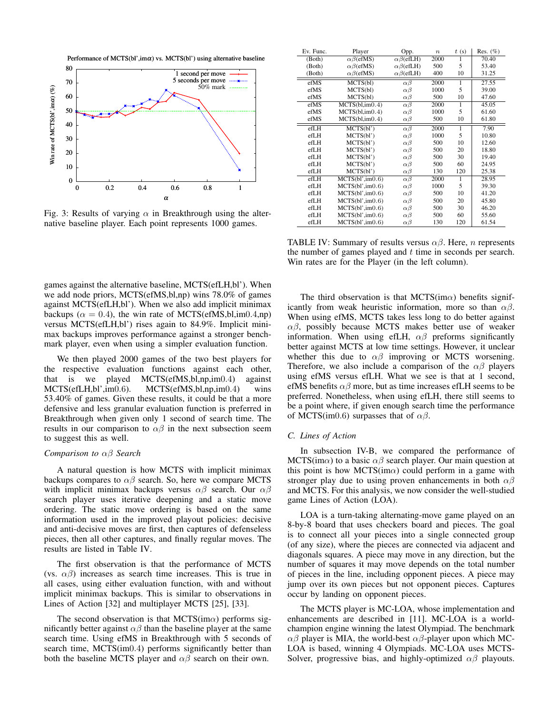

Fig. 3: Results of varying  $\alpha$  in Breakthrough using the alternative baseline player. Each point represents 1000 games.

games against the alternative baseline, MCTS(efLH,bl'). When we add node priors, MCTS(efMS,bl,np) wins 78.0% of games against MCTS(efLH,bl'). When we also add implicit minimax backups ( $\alpha = 0.4$ ), the win rate of MCTS(efMS,bl,im $0.4$ ,np) versus MCTS(efLH,bl') rises again to 84.9%. Implicit minimax backups improves performance against a stronger benchmark player, even when using a simpler evaluation function.

We then played 2000 games of the two best players for the respective evaluation functions against each other, that is we played MCTS(efMS,bl,np,im0.4) against<br>MCTS(efLH,bl',im0.6). MCTS(efMS,bl,np,im0.4) wins  $MCTS(efMS,bl,np,im0.4)$  wins 53.40% of games. Given these results, it could be that a more defensive and less granular evaluation function is preferred in Breakthrough when given only 1 second of search time. The results in our comparison to  $\alpha\beta$  in the next subsection seem to suggest this as well.

### *Comparison to* αβ *Search*

A natural question is how MCTS with implicit minimax backups compares to  $\alpha\beta$  search. So, here we compare MCTS with implicit minimax backups versus  $\alpha\beta$  search. Our  $\alpha\beta$ search player uses iterative deepening and a static move ordering. The static move ordering is based on the same information used in the improved playout policies: decisive and anti-decisive moves are first, then captures of defenseless pieces, then all other captures, and finally regular moves. The results are listed in Table IV.

The first observation is that the performance of MCTS (vs.  $\alpha\beta$ ) increases as search time increases. This is true in all cases, using either evaluation function, with and without implicit minimax backups. This is similar to observations in Lines of Action [32] and multiplayer MCTS [25], [33].

The second observation is that  $MCTS(\text{im}\alpha)$  performs significantly better against  $\alpha\beta$  than the baseline player at the same search time. Using efMS in Breakthrough with 5 seconds of search time, MCTS(im0.4) performs significantly better than both the baseline MCTS player and  $\alpha\beta$  search on their own.

| Ev. Func. | Player               | Opp.                 | $\boldsymbol{n}$ | t(s) | Res. $(\%)$ |
|-----------|----------------------|----------------------|------------------|------|-------------|
| (Both)    | $\alpha\beta$ (efMS) | $\alpha\beta$ (efLH) | 2000             |      | 70.40       |
| (Both)    | $\alpha\beta$ (efMS) | $\alpha\beta$ (efLH) | 500              | 5    | 53.40       |
| (Both)    | $\alpha\beta$ (efMS) | $\alpha\beta$ (efLH) | 400              | 10   | 31.25       |
| efMS      | MCTS(b1)             | $\alpha\beta$        | 2000             | 1    | 27.55       |
| efMS      | MCTS(bl)             | $\alpha\beta$        | 1000             | 5    | 39.00       |
| efMS      | MCTS(bl)             | $\alpha\beta$        | 500              | 10   | 47.60       |
| efMS      | MCTS(bl, im0.4)      | $\alpha\beta$        | 2000             | 1    | 45.05       |
| efMS      | MCTS(bl, im0.4)      | $\alpha\beta$        | 1000             | 5    | 61.60       |
| efMS      | MCTS(bl, im0.4)      | $\alpha\beta$        | 500              | 10   | 61.80       |
| effLH     | MCTS(b1')            | $\alpha\beta$        | 2000             | 1    | 7.90        |
| efLH      | MCTS(b1')            | $\alpha\beta$        | 1000             | 5    | 10.80       |
| efLH      | MCTS(b1')            | $\alpha\beta$        | 500              | 10   | 12.60       |
| efLH      | MCTS(b1')            | $\alpha\beta$        | 500              | 20   | 18.80       |
| efLH      | MCTS(b1')            | $\alpha\beta$        | 500              | 30   | 19.40       |
| efLH      | MCTS(b1')            | $\alpha\beta$        | 500              | 60   | 24.95       |
| efLH      | MCTS(b1')            | $\alpha\beta$        | 130              | 120  | 25.38       |
| effLH     | MCTS(b1',im0.6)      | $\alpha\beta$        | 2000             | 1    | 28.95       |
| efLH      | MCTS(b1',im0.6)      | $\alpha\beta$        | 1000             | 5    | 39.30       |
| efLH      | MCTS(b1',im0.6)      | $\alpha\beta$        | 500              | 10   | 41.20       |
| efLH      | MCTS(b1',im0.6)      | $\alpha\beta$        | 500              | 20   | 45.80       |
| efLH      | MCTS(b1',im0.6)      | $\alpha\beta$        | 500              | 30   | 46.20       |
| efLH      | MCTS(b1',im0.6)      | $\alpha\beta$        | 500              | 60   | 55.60       |
| efLH      | MCTS(b1',im0.6)      | $\alpha\beta$        | 130              | 120  | 61.54       |

TABLE IV: Summary of results versus  $\alpha\beta$ . Here, *n* represents the number of games played and  $t$  time in seconds per search. Win rates are for the Player (in the left column).

The third observation is that  $MCTS(im\alpha)$  benefits significantly from weak heuristic information, more so than  $\alpha\beta$ . When using efMS, MCTS takes less long to do better against  $\alpha\beta$ , possibly because MCTS makes better use of weaker information. When using efLH,  $\alpha\beta$  preforms significantly better against MCTS at low time settings. However, it unclear whether this due to  $\alpha\beta$  improving or MCTS worsening. Therefore, we also include a comparison of the  $\alpha\beta$  players using efMS versus efLH. What we see is that at 1 second, efMS benefits  $\alpha\beta$  more, but as time increases efLH seems to be preferred. Nonetheless, when using efLH, there still seems to be a point where, if given enough search time the performance of MCTS(im0.6) surpasses that of  $\alpha\beta$ .

## *C. Lines of Action*

In subsection IV-B, we compared the performance of  $MCTS(\text{im}\alpha)$  to a basic  $\alpha\beta$  search player. Our main question at this point is how MCTS(im $\alpha$ ) could perform in a game with stronger play due to using proven enhancements in both  $\alpha\beta$ and MCTS. For this analysis, we now consider the well-studied game Lines of Action (LOA).

LOA is a turn-taking alternating-move game played on an 8-by-8 board that uses checkers board and pieces. The goal is to connect all your pieces into a single connected group (of any size), where the pieces are connected via adjacent and diagonals squares. A piece may move in any direction, but the number of squares it may move depends on the total number of pieces in the line, including opponent pieces. A piece may jump over its own pieces but not opponent pieces. Captures occur by landing on opponent pieces.

The MCTS player is MC-LOA, whose implementation and enhancements are described in [11]. MC-LOA is a worldchampion engine winning the latest Olympiad. The benchmark  $\alpha\beta$  player is MIA, the world-best  $\alpha\beta$ -player upon which MC-LOA is based, winning 4 Olympiads. MC-LOA uses MCTS-Solver, progressive bias, and highly-optimized  $\alpha\beta$  playouts.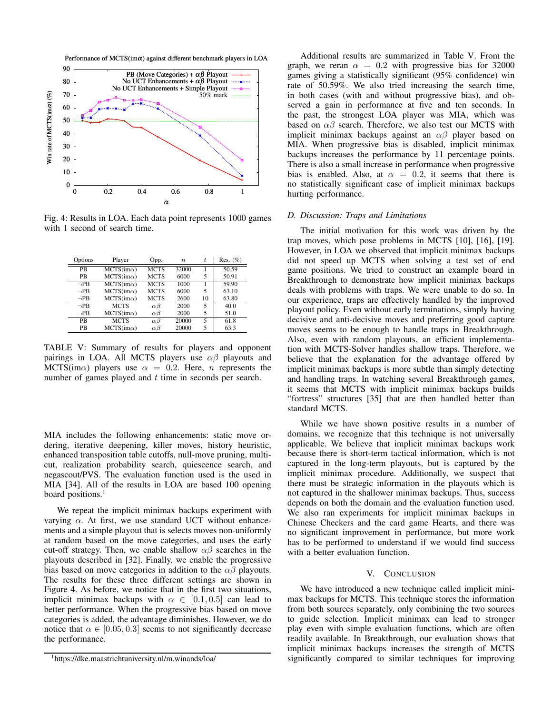



Fig. 4: Results in LOA. Each data point represents 1000 games with 1 second of search time.

| Options   | Player           | Opp.          | $\eta$ | t. | Res. $(\%)$ |
|-----------|------------------|---------------|--------|----|-------------|
| PB        | $MCTS(im\alpha)$ | <b>MCTS</b>   | 32000  |    | 50.59       |
| <b>PB</b> | $MCTS(im\alpha)$ | <b>MCTS</b>   | 6000   | 5  | 50.91       |
| $\neg$ PB | $MCTS(im\alpha)$ | <b>MCTS</b>   | 1000   |    | 59.90       |
| $\neg$ PB | $MCTS(im\alpha)$ | <b>MCTS</b>   | 6000   | 5  | 63.10       |
| $\neg$ PB | $MCTS(im\alpha)$ | <b>MCTS</b>   | 2600   | 10 | 63.80       |
| $\neg$ PB | <b>MCTS</b>      | $\alpha\beta$ | 2000   | 5  | 40.0        |
| $\neg$ PB | $MCTS(im\alpha)$ | $\alpha\beta$ | 2000   | 5  | 51.0        |
| <b>PB</b> | <b>MCTS</b>      | $\alpha\beta$ | 20000  | 5  | 61.8        |
| <b>PB</b> | $MCTS(im\alpha)$ | $\alpha\beta$ | 20000  | 5  | 63.3        |

TABLE V: Summary of results for players and opponent pairings in LOA. All MCTS players use  $\alpha\beta$  playouts and MCTS(im $\alpha$ ) players use  $\alpha = 0.2$ . Here, *n* represents the number of games played and t time in seconds per search.

MIA includes the following enhancements: static move ordering, iterative deepening, killer moves, history heuristic, enhanced transposition table cutoffs, null-move pruning, multicut, realization probability search, quiescence search, and negascout/PVS. The evaluation function used is the used in MIA [34]. All of the results in LOA are based 100 opening board positions.<sup>1</sup>

We repeat the implicit minimax backups experiment with varying  $\alpha$ . At first, we use standard UCT without enhancements and a simple playout that is selects moves non-uniformly at random based on the move categories, and uses the early cut-off strategy. Then, we enable shallow  $\alpha\beta$  searches in the playouts described in [32]. Finally, we enable the progressive bias based on move categories in addition to the  $\alpha\beta$  playouts. The results for these three different settings are shown in Figure 4. As before, we notice that in the first two situations, implicit minimax backups with  $\alpha \in [0.1, 0.5]$  can lead to better performance. When the progressive bias based on move categories is added, the advantage diminishes. However, we do notice that  $\alpha \in [0.05, 0.3]$  seems to not significantly decrease the performance.

Additional results are summarized in Table V. From the graph, we reran  $\alpha = 0.2$  with progressive bias for 32000 games giving a statistically significant (95% confidence) win rate of 50.59%. We also tried increasing the search time, in both cases (with and without progressive bias), and observed a gain in performance at five and ten seconds. In the past, the strongest LOA player was MIA, which was based on  $\alpha\beta$  search. Therefore, we also test our MCTS with implicit minimax backups against an  $\alpha\beta$  player based on MIA. When progressive bias is disabled, implicit minimax backups increases the performance by 11 percentage points. There is also a small increase in performance when progressive bias is enabled. Also, at  $\alpha = 0.2$ , it seems that there is no statistically significant case of implicit minimax backups hurting performance.

#### *D. Discussion: Traps and Limitations*

The initial motivation for this work was driven by the trap moves, which pose problems in MCTS [10], [16], [19]. However, in LOA we observed that implicit minimax backups did not speed up MCTS when solving a test set of end game positions. We tried to construct an example board in Breakthrough to demonstrate how implicit minimax backups deals with problems with traps. We were unable to do so. In our experience, traps are effectively handled by the improved playout policy. Even without early terminations, simply having decisive and anti-decisive moves and preferring good capture moves seems to be enough to handle traps in Breakthrough. Also, even with random playouts, an efficient implementation with MCTS-Solver handles shallow traps. Therefore, we believe that the explanation for the advantage offered by implicit minimax backups is more subtle than simply detecting and handling traps. In watching several Breakthrough games, it seems that MCTS with implicit minimax backups builds "fortress" structures [35] that are then handled better than standard MCTS.

While we have shown positive results in a number of domains, we recognize that this technique is not universally applicable. We believe that implicit minimax backups work because there is short-term tactical information, which is not captured in the long-term playouts, but is captured by the implicit minimax procedure. Additionally, we suspect that there must be strategic information in the playouts which is not captured in the shallower minimax backups. Thus, success depends on both the domain and the evaluation function used. We also ran experiments for implicit minimax backups in Chinese Checkers and the card game Hearts, and there was no significant improvement in performance, but more work has to be performed to understand if we would find success with a better evaluation function.

## V. CONCLUSION

We have introduced a new technique called implicit minimax backups for MCTS. This technique stores the information from both sources separately, only combining the two sources to guide selection. Implicit minimax can lead to stronger play even with simple evaluation functions, which are often readily available. In Breakthrough, our evaluation shows that implicit minimax backups increases the strength of MCTS significantly compared to similar techniques for improving

<sup>1</sup>https://dke.maastrichtuniversity.nl/m.winands/loa/